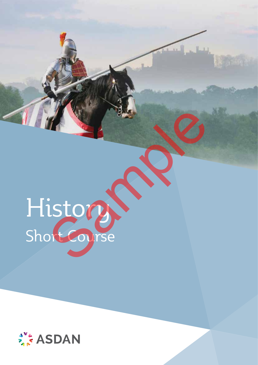# History Short Course Story Re

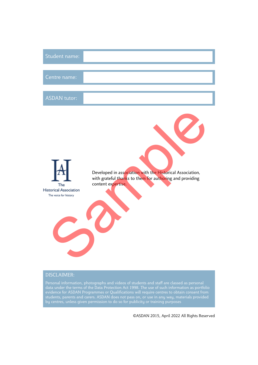| Student name:                                                 |                                                                                                                                             |
|---------------------------------------------------------------|---------------------------------------------------------------------------------------------------------------------------------------------|
| Centre name:                                                  |                                                                                                                                             |
| <b>ASDAN</b> tutor:                                           |                                                                                                                                             |
| The<br><b>Historical Association</b><br>The voice for history | Developed in association with the Historical Association,<br>with grateful thanks to them for authoring and providing<br>content expertise. |

#### DISCLAIMER:

Personal information, photographs and videos of students and staff are classed as personal data under the terms of the Data Protection Act 1998. The use of such information as portfolio evidence for ASDAN Programmes or Qualifications will require centres to obtain consent from students, parents and carers. ASDAN does not pass on, or use in any way, materials provided by centres, unless given permission to do so for publicity or training purposes

©ASDAN 2015, April 2022 All Rights Reserved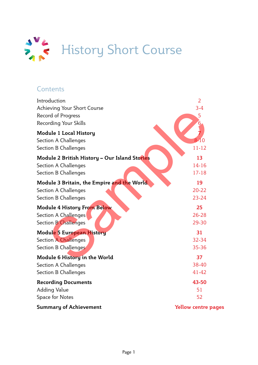

### **Contents**

| Introduction                                  | $\overline{2}$             |
|-----------------------------------------------|----------------------------|
| Achieving Your Short Course                   | $3-4$                      |
| Record of Progress                            | 5                          |
| Recording Your Skills                         |                            |
| <b>Module 1 Local History</b>                 |                            |
| <b>Section A Challenges</b>                   | $8 - 10$                   |
| <b>Section B Challenges</b>                   | $11 - 12$                  |
| Module 2 British History - Our Island Stories | 13                         |
| Section A Challenges                          | $14 - 16$                  |
| <b>Section B Challenges</b>                   | $17 - 18$                  |
| Module 3 Britain, the Empire and the World    | 19                         |
| <b>Section A Challenges</b>                   | $20 - 22$                  |
| <b>Section B Challenges</b>                   | $23 - 24$                  |
| <b>Module 4 History From Below</b>            | 25                         |
| Section A Challenges                          | 26-28                      |
| <b>Section B Challenges</b>                   | 29-30                      |
| <b>Module 5 European History</b>              | 31                         |
| <b>Section A Challenges</b>                   | 32-34                      |
| Section B Challenges                          | 35-36                      |
| Module 6 History in the World                 | 37                         |
| <b>Section A Challenges</b>                   | 38-40                      |
| Section B Challenges                          | 41-42                      |
| <b>Recording Documents</b>                    | 43-50                      |
| Adding Value                                  | 51                         |
| Space for Notes                               | 52                         |
| <b>Summary of Achievement</b>                 | <b>Yellow centre pages</b> |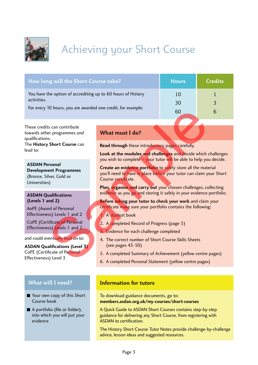

## Achieving your Short Course

| How long will the Short Course take?                         | <b>Hours</b> | Credits |
|--------------------------------------------------------------|--------------|---------|
| You have the option of accrediting up to 60 hours of History | 10           |         |
| activities.                                                  | 30           | 3       |
|                                                              | 60           |         |
| For every 10 hours, you are awarded one credit, for example: |              |         |

These credits can contribute towards other programmes and qualifications.

The **History Short Course** can lead to:

**ASDAN Personal Development Programmes** (Bronze, Silver, Gold or Universities)

#### **ASDAN Qualifications (Levels 1 and 2)**

AoPE (Award of Personal Effectiveness) Levels 1 and 2

CoPE (Certificate of Personal Effectiveness) Levels 1 and 2

and could eventually lead on to:

**ASDAN Qualifications (Level 3)** CoPE (Certificate of Personal Effectiveness) Level 3

#### **What will I need?**

- Your own copy of this Short Course book
- A portfolio (file or folder), into which you will put your evidence

#### **What must I do?**

**Read through** these introductory pages carefully.

**Look at the modules and challenges** and decide which challenges you wish to complete – your tutor will be able to help you decide.

**Create an evidence portfolio** to safely store all the material you'll need to have in place before your tutor can claim your Short Course certificate. The state of Personal<br>
Sample:<br>
Sample:<br>
Sample:<br>
Sample:<br>
Sample:<br>
Sample:<br>
Sample:<br>
Sample:<br>
Sample:<br>
Sample:<br>
Sample:<br>
Sample:<br>
Sample:<br>
Sample:<br>
Sample:<br>
Sample:<br>
Sample:<br>
Sample:<br>
Sample:<br>
Sample:<br>
Course certains<br>
Co

**Plan, organise and carry out** your chosen challenges, collecting evidence as you go and storing it safely in your evidence portfolio.

**Before asking your tutor to check your work** and claim your certificate make sure your portfolio contains the following:

#### 1. A student book

- 2. A completed Record of Progress (page 5)
- 3. Evidence for each challenge completed
- 4. The correct number of Short Course Skills Sheets (see pages 43-50)
- 5. A completed Summary of Achievement (yellow centre pages)
- 6. A completed Personal Statement (yellow centre pages)

#### **Information for tutors**

To download guidance documents, go to: **members.asdan.org.uk/my-courses/short-courses**

A Quick Guide to ASDAN Short Courses contains step-by-step guidance for delivering any Short Course, from registering with ASDAN to certification.

The History Short Course Tutor Notes provide challenge-by-challenge advice, lesson ideas and suggested resources.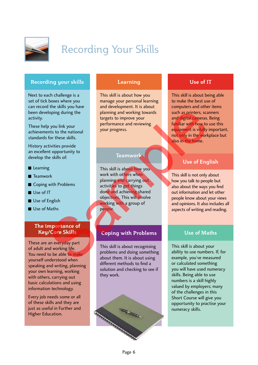

## Recording Your Skills

#### **Recording your skills**

Next to each challenge is a set of tick boxes where you can record the skills you have been developing during the activity.

These help you link your achievements to the national standards for these skills.

History activities provide an excellent opportunity to develop the skills of:

- Learning
- Teamwork
- Coping with Problems
- Use of IT
- Use of English
- Use of Maths

#### **The importance of Key/Core Skills**

These are an everyday part of adult and working life. You need to be able to make yourself understood when speaking and writing, planning your own learning, working with others, carrying out basic calculations and using information technology.

Every job needs some or all of these skills and they are just as useful in Further and Higher Education.

#### **Learning**

This skill is about how you manage your personal learning and development. It is about planning and working towards targets to improve your performance and reviewing your progress.

#### **Teamwork**

This skill is about how you work with others when planning and carrying out activities to get things done and achieving shared objectives. This will involve working with a group of people. Company of the same of the the same of the same of the same of the same of the same of the same of the same of the same of the same of the same of the same of the same of the same of the same of the same of the same of the

#### **Coping with Problems**

This skill is about recognising problems and doing something about them. It is about using different methods to find a solution and checking to see if they work.



#### **Use of IT**

This skill is about being able to make the best use of computers and other items such as printers, scanners and digital cameras. Being familiar with how to use this equipment is vitally important, not only in the workplace but also in the home.

#### **Use of English**

This skill is not only about how you talk to people but also about the ways you find out information and let other people know about your views and opinions. It also includes all aspects of writing and reading.

#### **Use of Maths**

This skill is about your ability to use numbers. If, for example, you've measured or calculated something you will have used numeracy skills. Being able to use numbers is a skill highly valued by employers; many of the challenges in this Short Course will give you opportunity to practise your numeracy skills.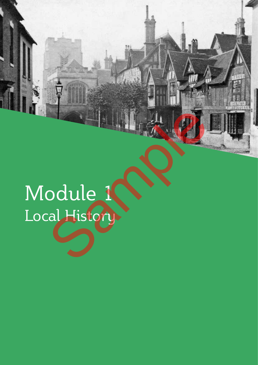# Module 1 Local History Baddle 1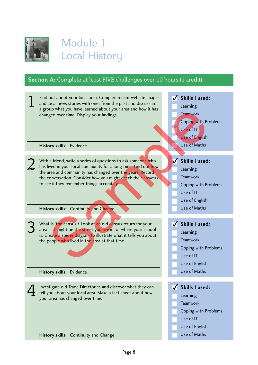

### Module 1 Local History

#### **Section A:** Complete at least FIVE challenges over 10 hours (1 credit)

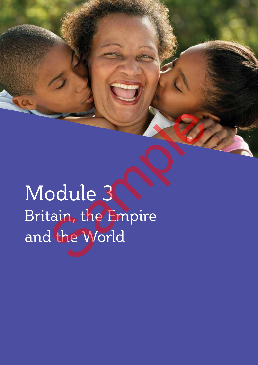Module 3 Britain, the Empire and the World Badule 3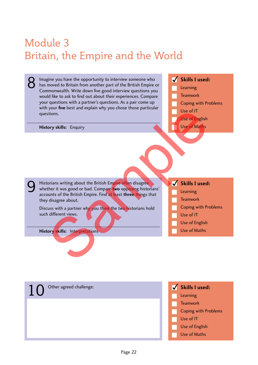## Module 3 Britain, the Empire and the World

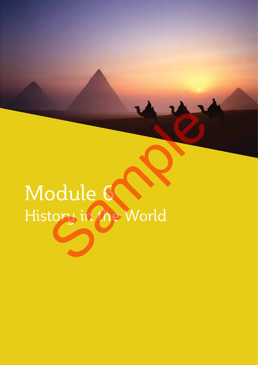# Module 6 History in the World Badule 6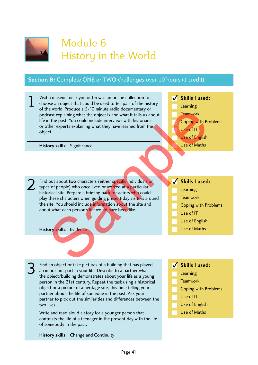

### Module 6 History in the World

#### **Section B:** Complete ONE or TWO challenges over 10 hours (1 credit)

- Visit a museum near you or browse an online collection to choose an object that could be used to tell part of the history of the world. Produce a 5-10 minute radio documentary or podcast explaining what the object is and what it tells us about life in the past. You could include interviews with historians or other experts explaining what they have learned from the object. 1
	- **History skills:** Significance
- Find out about **two** characters (either specific individuals or types of people) who once lived or worked at a particular historical site. Prepare a briefing pack for actors who could play these characters when guiding present-day visitors around the site. You should include information about the site and about what each person's life would have been like. 2 New York Court and Sample Harmon Content and Content and Court and Water the past. You could include interviews with historians there experies explaining what they have learned from the term expects explaining what they ha
	- **History skills:** Evidence

3

- Find an object or take pictures of a building that has played an important part in your life. Describe to a partner what the object/building demonstrates about your life as a young person in the 21st century. Repeat the task using a historical object or a picture of a heritage site, this time telling your partner about the life of someone in the past. Ask your partner to pick out the similarities and differences between the two lives.
- Write and read aloud a story for a younger person that contrasts the life of a teenager in the present day with the life of somebody in the past.

**Skills I used:**

**Skills I used:**

**Skills I used:**

Coping with Problems

Learning **Teamwork** 

Use of IT

Use of English Use of Maths

Coping with Problems

Learning Teamwork

Use of IT

Use of English Use of Maths

- Learning
- **Teamwork**
- Coping with Problems
- Use of IT
- Use of English
- Use of Maths

**History skills:** Change and Continuity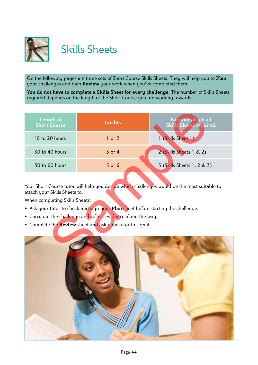

## Skills Sheets

On the following pages are three sets of Short Course Skills Sheets. They will help you to **Plan** your challenges and then **Review** your work when you've completed them.

**You do not have to complete a Skills Sheet for every challenge**. The number of Skills Sheets required depends on the length of the Short Course you are working towards.

| Length of<br><b>Short Course</b>                                                                                                                                                                                                                                                                                                                                                   | <b>Credits</b> | Nymoer of sets of<br>Skills Sheets required |  |  |  |
|------------------------------------------------------------------------------------------------------------------------------------------------------------------------------------------------------------------------------------------------------------------------------------------------------------------------------------------------------------------------------------|----------------|---------------------------------------------|--|--|--|
| 10 to 20 hours                                                                                                                                                                                                                                                                                                                                                                     | $1$ or $2$     | 1 (Skills Sheet 1)                          |  |  |  |
| 30 to 40 hours                                                                                                                                                                                                                                                                                                                                                                     | $3$ or $4$     | 2 (Skills Sheets 1 & 2)                     |  |  |  |
| 50 to 60 hours                                                                                                                                                                                                                                                                                                                                                                     | $5$ or $6$     | 3 (Skills Sheets 1, 2 & 3)                  |  |  |  |
| Your Short Course tutor will help you decide which challenges would be the most suitable to<br>attach your Skills Sheets to.<br>When completing Skills Sheets:<br>• Ask your tutor to check and sign your Plan sheet before starting the challenge.<br>• Carry out the challenge and collect evidence along the way.<br>• Complete the Review sheet and ask your tutor to sign it. |                |                                             |  |  |  |
|                                                                                                                                                                                                                                                                                                                                                                                    |                |                                             |  |  |  |

- Ask your tutor to check and sign your **Plan** sheet before starting the challenge.
- Carry out the challenge and collect evidence along the way.
- Complete the **Review** sheet and ask your tutor to sign it.